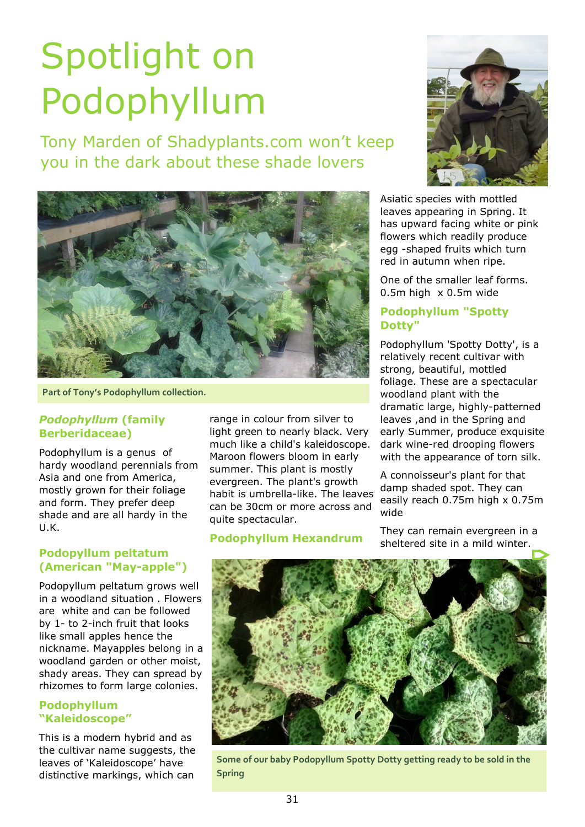# Spotlight on Podophyllum

Tony Marden of Shadyplants.com won't keep you in the dark about these shade lovers



**Part of Tony's Podophyllum collection.**

## *Podophyllum* **(family Berberidaceae)**

Podophyllum is a genus of hardy woodland perennials from Asia and one from America, mostly grown for their foliage and form. They prefer deep shade and are all hardy in the U.K.

## **Podopyllum peltatum (American "May-apple")**

Podopyllum peltatum grows well in a woodland situation . Flowers are white and can be followed by 1- to 2-inch fruit that looks like small apples hence the nickname. Mayapples belong in a woodland garden or other moist, shady areas. They can spread by rhizomes to form large colonies.

## **Podophyllum "Kaleidoscope"**

This is a modern hybrid and as the cultivar name suggests, the leaves of 'Kaleidoscope' have distinctive markings, which can

range in colour from silver to light green to nearly black. Very much like a child's kaleidoscope. Maroon flowers bloom in early summer. This plant is mostly evergreen. The plant's growth habit is umbrella-like. The leaves can be 30cm or more across and quite spectacular.

**Podophyllum Hexandrum**



Asiatic species with mottled leaves appearing in Spring. It has upward facing white or pink flowers which readily produce egg -shaped fruits which turn red in autumn when ripe.

One of the smaller leaf forms. 0.5m high x 0.5m wide

## **Podophyllum "Spotty Dotty"**

Podophyllum 'Spotty Dotty', is a relatively recent cultivar with strong, beautiful, mottled foliage. These are a spectacular woodland plant with the dramatic large, highly-patterned leaves ,and in the Spring and early Summer, produce exquisite dark wine-red drooping flowers with the appearance of torn silk.

A connoisseur's plant for that damp shaded spot. They can easily reach 0.75m high x 0.75m wide

They can remain evergreen in a sheltered site in a mild winter.



**Some of our baby Podopyllum Spotty Dotty getting ready to be sold in the Spring**